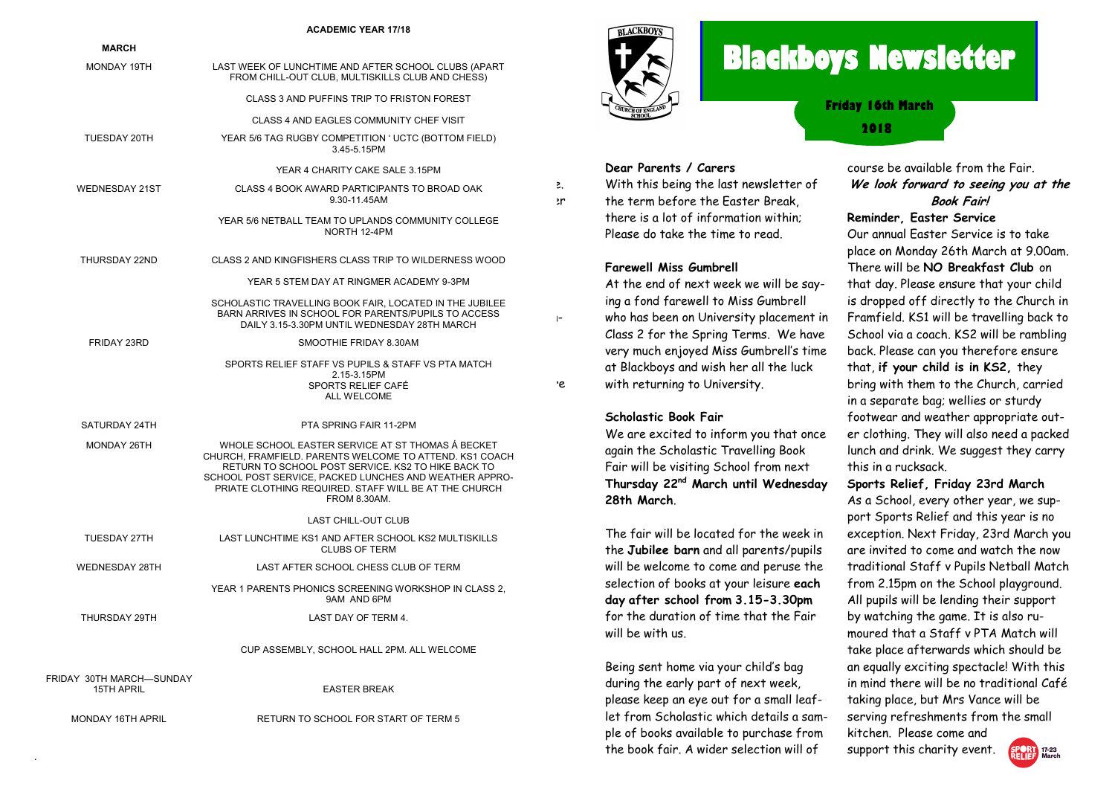#### **ACADEMIC YEAR 17/18**

| <b>MARCH</b>                           |                                                                                                                                                                                                                                                                                                       |          |
|----------------------------------------|-------------------------------------------------------------------------------------------------------------------------------------------------------------------------------------------------------------------------------------------------------------------------------------------------------|----------|
| MONDAY 19TH                            | LAST WEEK OF LUNCHTIME AND AFTER SCHOOL CLUBS (APART<br>FROM CHILL-OUT CLUB, MULTISKILLS CLUB AND CHESS)                                                                                                                                                                                              |          |
|                                        | CLASS 3 AND PUFFINS TRIP TO FRISTON FOREST                                                                                                                                                                                                                                                            |          |
|                                        | CLASS 4 AND EAGLES COMMUNITY CHEF VISIT                                                                                                                                                                                                                                                               |          |
| TUESDAY 20TH                           | YEAR 5/6 TAG RUGBY COMPETITION ' UCTC (BOTTOM FIELD)<br>3.45-5.15PM                                                                                                                                                                                                                                   |          |
|                                        | YEAR 4 CHARITY CAKE SALE 3.15PM                                                                                                                                                                                                                                                                       |          |
| <b>WEDNESDAY 21ST</b>                  | CLASS 4 BOOK AWARD PARTICIPANTS TO BROAD OAK<br>9.30-11.45AM                                                                                                                                                                                                                                          | З.<br>зr |
|                                        | YEAR 5/6 NETBALL TEAM TO UPLANDS COMMUNITY COLLEGE<br>NORTH 12-4PM                                                                                                                                                                                                                                    |          |
| THURSDAY 22ND                          | CLASS 2 AND KINGFISHERS CLASS TRIP TO WILDERNESS WOOD                                                                                                                                                                                                                                                 |          |
|                                        | YEAR 5 STEM DAY AT RINGMER ACADEMY 9-3PM                                                                                                                                                                                                                                                              |          |
|                                        | SCHOLASTIC TRAVELLING BOOK FAIR, LOCATED IN THE JUBILEE<br>BARN ARRIVES IN SCHOOL FOR PARENTS/PUPILS TO ACCESS<br>DAILY 3.15-3.30PM UNTIL WEDNESDAY 28TH MARCH                                                                                                                                        | $\vdash$ |
| FRIDAY 23RD                            | SMOOTHIE FRIDAY 8.30AM                                                                                                                                                                                                                                                                                |          |
|                                        | SPORTS RELIEF STAFF VS PUPILS & STAFF VS PTA MATCH<br>2.15-3.15PM<br>SPORTS RELIEF CAFÉ<br>ALL WELCOME                                                                                                                                                                                                | ٠e       |
| SATURDAY 24TH                          | PTA SPRING FAIR 11-2PM                                                                                                                                                                                                                                                                                |          |
| MONDAY 26TH                            | WHOLE SCHOOL EASTER SERVICE AT ST THOMAS A BECKET<br>CHURCH, FRAMFIELD. PARENTS WELCOME TO ATTEND. KS1 COACH<br>RETURN TO SCHOOL POST SERVICE. KS2 TO HIKE BACK TO<br>SCHOOL POST SERVICE, PACKED LUNCHES AND WEATHER APPRO-<br>PRIATE CLOTHING REQUIRED. STAFF WILL BE AT THE CHURCH<br>FROM 8.30AM. |          |
|                                        | LAST CHILL-OUT CLUB                                                                                                                                                                                                                                                                                   |          |
| TUESDAY 27TH                           | LAST LUNCHTIME KS1 AND AFTER SCHOOL KS2 MULTISKILLS<br><b>CLUBS OF TERM</b>                                                                                                                                                                                                                           |          |
| WEDNESDAY 28TH                         | LAST AFTER SCHOOL CHESS CLUB OF TERM                                                                                                                                                                                                                                                                  |          |
|                                        | YEAR 1 PARENTS PHONICS SCREENING WORKSHOP IN CLASS 2.<br>9AM AND 6PM                                                                                                                                                                                                                                  |          |
| THURSDAY 29TH                          | LAST DAY OF TERM 4.                                                                                                                                                                                                                                                                                   |          |
|                                        | CUP ASSEMBLY, SCHOOL HALL 2PM. ALL WELCOME                                                                                                                                                                                                                                                            |          |
| FRIDAY 30TH MARCH-SUNDAY<br>15TH APRIL | <b>EASTER BREAK</b>                                                                                                                                                                                                                                                                                   |          |
| MONDAY 16TH APRIL                      | RETURN TO SCHOOL FOR START OF TERM 5                                                                                                                                                                                                                                                                  |          |

.



**Dear Parents / Carers**

**Farewell Miss Gumbrell**

with returning to University.

**Scholastic Book Fair**

**28th March**.

will be with us.

With this being the last newsletter of the term before the Easter Break, there is a lot of information within; Please do take the time to read.

At the end of next week we will be saying a fond farewell to Miss Gumbrell who has been on University placement in Class 2 for the Spring Terms. We have very much enjoyed Miss Gumbrell's time at Blackboys and wish her all the luck

We are excited to inform you that once again the Scholastic Travelling Book Fair will be visiting School from next **Thursday 22nd March until Wednesday** 

The fair will be located for the week in the **Jubilee barn** and all parents/pupils will be welcome to come and peruse the selection of books at your leisure **each day after school from 3.15-3.30pm** for the duration of time that the Fair

Being sent home via your child's bag during the early part of next week, please keep an eye out for a small leaflet from Scholastic which details a sample of books available to purchase from the book fair. A wider selection will of

# **Blackboys Newsletter**

**2018 Friday 16th March** 

#### course be available from the Fair. **We look forward to seeing you at the Book Fair! Reminder, Easter Service**

### Our annual Easter Service is to take

place on Monday 26th March at 9.00am. There will be **NO Breakfast Club** on that day. Please ensure that your child is dropped off directly to the Church in Framfield. KS1 will be travelling back to School via a coach. KS2 will be rambling back. Please can you therefore ensure that, **if your child is in KS2,** they bring with them to the Church, carried in a separate bag; wellies or sturdy footwear and weather appropriate outer clothing. They will also need a packed lunch and drink. We suggest they carry this in a rucksack.

#### **Sports Relief, Friday 23rd March**

As a School, every other year, we support Sports Relief and this year is no exception. Next Friday, 23rd March you are invited to come and watch the now traditional Staff v Pupils Netball Match from 2.15pm on the School playground. All pupils will be lending their support by watching the game. It is also rumoured that a Staff v PTA Match will take place afterwards which should be an equally exciting spectacle! With this in mind there will be no traditional Café taking place, but Mrs Vance will be serving refreshments from the small kitchen. Please come and

support this charity event.